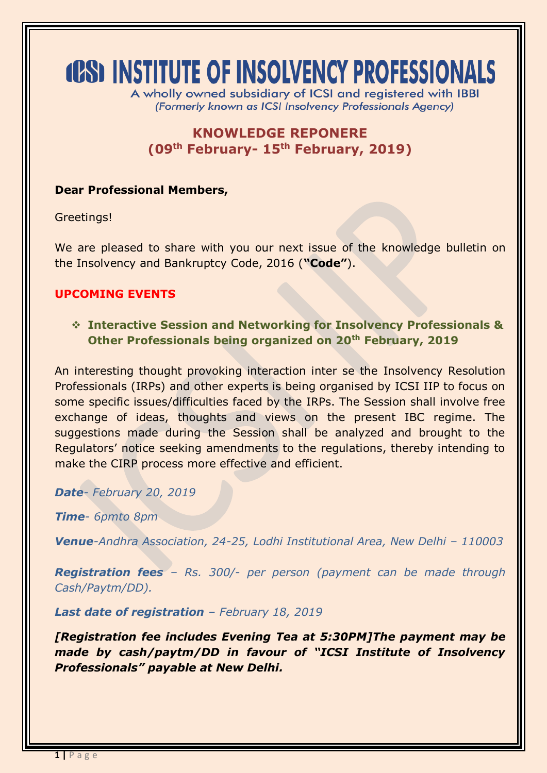# **(CS) INSTITUTE OF INSOLVENCY PROFESSIONALS**

A wholly owned subsidiary of ICSI and registered with IBBI (Formerly known as ICSI Insolvency Professionals Agency)

# **KNOWLEDGE REPONERE (09th February- 15th February, 2019)**

#### **Dear Professional Members,**

Greetings!

We are pleased to share with you our next issue of the knowledge bulletin on the Insolvency and Bankruptcy Code, 2016 (**"Code"**).

### **UPCOMING EVENTS**

 **Interactive Session and Networking for Insolvency Professionals & Other Professionals being organized on 20th February, 2019**

An interesting thought provoking interaction inter se the Insolvency Resolution Professionals (IRPs) and other experts is being organised by ICSI IIP to focus on some specific issues/difficulties faced by the IRPs. The Session shall involve free exchange of ideas, thoughts and views on the present IBC regime. The suggestions made during the Session shall be analyzed and brought to the Regulators' notice seeking amendments to the regulations, thereby intending to make the CIRP process more effective and efficient.

*Date- February 20, 2019* 

*Time- 6pmto 8pm*

*Venue-Andhra Association, 24-25, Lodhi Institutional Area, New Delhi - 110003* 

*Registration fees – Rs. 300/- per person (payment can be made through Cash/Paytm/DD).*

*Last date of registration – February 18, 2019*

*[Registration fee includes Evening Tea at 5:30PM]The payment may be made by cash/paytm/DD in favour of "ICSI Institute of Insolvency Professionals" payable at New Delhi.*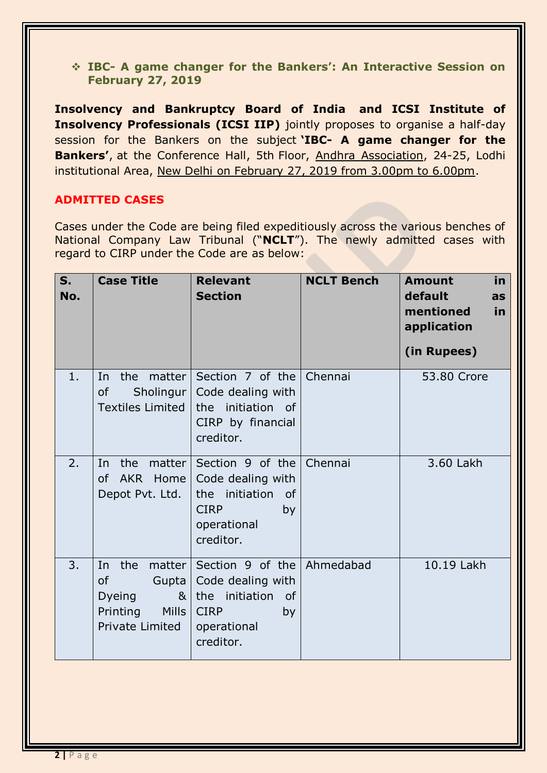**IBC- A game changer for the Bankers': An Interactive Session on February 27, 2019**

**Insolvency and Bankruptcy Board of India and ICSI Institute of Insolvency Professionals (ICSI IIP)** jointly proposes to organise a half-day session for the Bankers on the subject **'IBC- A game changer for the Bankers'**, at the Conference Hall, 5th Floor, Andhra Association, 24-25, Lodhi institutional Area, New Delhi on February 27, 2019 from 3.00pm to 6.00pm.

## **ADMITTED CASES**

Cases under the Code are being filed expeditiously across the various benches of National Company Law Tribunal ("**NCLT**"). The newly admitted cases with regard to CIRP under the Code are as below:

| $S_{1}$<br>No. | <b>Case Title</b>                                                                                                      | <b>Relevant</b><br><b>Section</b>                                                                              | <b>NCLT Bench</b> | in<br><b>Amount</b><br>default<br>as<br>mentioned<br>in<br>application<br>(in Rupees) |
|----------------|------------------------------------------------------------------------------------------------------------------------|----------------------------------------------------------------------------------------------------------------|-------------------|---------------------------------------------------------------------------------------|
| 1.             | the<br>matter  <br>In<br>Sholingur  <br><b>of</b><br><b>Textiles Limited</b>                                           | Section 7 of the<br>Code dealing with<br>the initiation of<br>CIRP by financial<br>creditor.                   | Chennai           | 53,80 Crore                                                                           |
| 2.             | the<br>matter<br>In<br>of AKR Home<br>Depot Pvt. Ltd.                                                                  | Section 9 of the<br>Code dealing with<br>the initiation<br>of<br><b>CIRP</b><br>by<br>operational<br>creditor. | Chennai           | 3.60 Lakh                                                                             |
| 3.             | the<br>matter  <br>In<br><b>of</b><br>Gupta<br>Dyeing<br>8 <sub>1</sub><br>Printing<br><b>Mills</b><br>Private Limited | Section 9 of the<br>Code dealing with<br>the initiation of<br><b>CIRP</b><br>by<br>operational<br>creditor.    | Ahmedabad         | 10.19 Lakh                                                                            |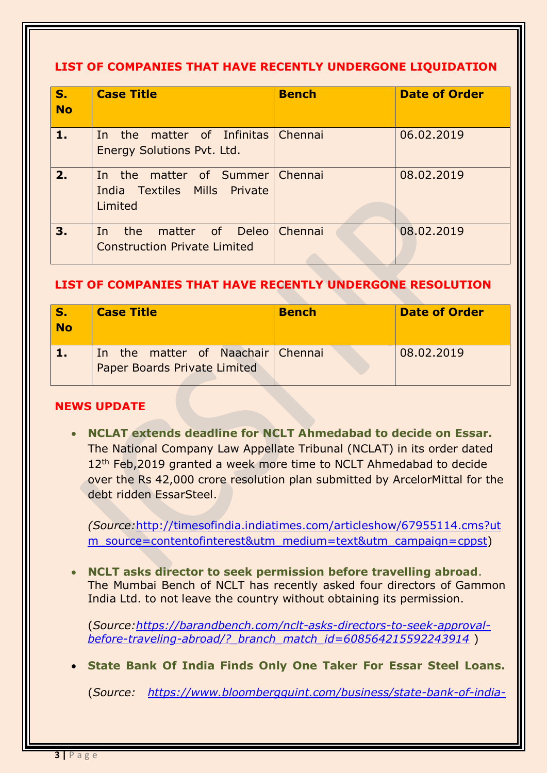### **LIST OF COMPANIES THAT HAVE RECENTLY UNDERGONE LIQUIDATION**

| S.<br><b>No</b> | <b>Case Title</b>                                                          | <b>Bench</b> | <b>Date of Order</b> |
|-----------------|----------------------------------------------------------------------------|--------------|----------------------|
| 1.              | In the matter of Infinitas Chennai<br>Energy Solutions Pvt. Ltd.           |              | 06.02.2019           |
| 2.              | In the matter of Summer Chennai<br>India Textiles Mills Private<br>Limited |              | 08.02.2019           |
| 3.              | the matter of Deleo Chennai<br>In.<br><b>Construction Private Limited</b>  |              | 08.02.2019           |

### **LIST OF COMPANIES THAT HAVE RECENTLY UNDERGONE RESOLUTION**

| IS.<br><b>No</b> | <b>Case Title</b>                                                 | <b>Bench</b> | <b>Date of Order</b> |
|------------------|-------------------------------------------------------------------|--------------|----------------------|
|                  | In the matter of Naachair Chennai<br>Paper Boards Private Limited |              | 08.02.2019           |

### **NEWS UPDATE**

 **NCLAT extends deadline for NCLT Ahmedabad to decide on Essar.**  The National Company Law Appellate Tribunal (NCLAT) in its order dated 12<sup>th</sup> Feb, 2019 granted a week more time to NCLT Ahmedabad to decide over the Rs 42,000 crore resolution plan submitted by ArcelorMittal for the debt ridden EssarSteel.

*(Source:*[http://timesofindia.indiatimes.com/articleshow/67955114.cms?ut](http://timesofindia.indiatimes.com/articleshow/67955114.cms?utm_source=contentofinterest&utm_medium=text&utm_campaign=cppst) [m\\_source=contentofinterest&utm\\_medium=text&utm\\_campaign=cppst\)](http://timesofindia.indiatimes.com/articleshow/67955114.cms?utm_source=contentofinterest&utm_medium=text&utm_campaign=cppst)

 **NCLT asks director to seek permission before travelling abroad**. The Mumbai Bench of NCLT has recently asked four directors of Gammon India Ltd. to not leave the country without obtaining its permission.

(*Source[:https://barandbench.com/nclt-asks-directors-to-seek-approval](https://barandbench.com/nclt-asks-directors-to-seek-approval-before-traveling-abroad/?_branch_match_id=608564215592243914)[before-traveling-abroad/?\\_branch\\_match\\_id=608564215592243914](https://barandbench.com/nclt-asks-directors-to-seek-approval-before-traveling-abroad/?_branch_match_id=608564215592243914)* )

**State Bank Of India Finds Only One Taker For Essar Steel Loans.**

(*Source: [https://www.bloombergquint.com/business/state-bank-of-india-](https://www.bloombergquint.com/business/state-bank-of-india-finds-only-one-taker-for-essar-steel-loans#gs.BzNq8AZ1)*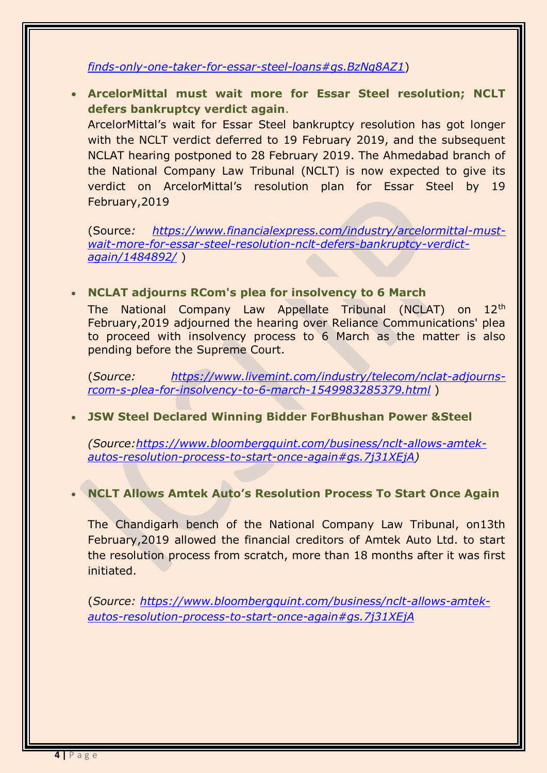#### *[finds-only-one-taker-for-essar-steel-loans#gs.BzNq8AZ1](https://www.bloombergquint.com/business/state-bank-of-india-finds-only-one-taker-for-essar-steel-loans#gs.BzNq8AZ1)*)

 **ArcelorMittal must wait more for Essar Steel resolution; NCLT defers bankruptcy verdict again**.

ArcelorMittal's wait for Essar Steel bankruptcy resolution has got longer with the NCLT verdict deferred to 19 February 2019, and the subsequent NCLAT hearing postponed to 28 February 2019. The Ahmedabad branch of the National Company Law Tribunal (NCLT) is now expected to give its verdict on ArcelorMittal's resolution plan for Essar Steel by 19 February,2019

(Source*: [https://www.financialexpress.com/industry/arcelormittal-must](https://www.financialexpress.com/industry/arcelormittal-must-wait-more-for-essar-steel-resolution-nclt-defers-bankruptcy-verdict-again/1484892/)[wait-more-for-essar-steel-resolution-nclt-defers-bankruptcy-verdict](https://www.financialexpress.com/industry/arcelormittal-must-wait-more-for-essar-steel-resolution-nclt-defers-bankruptcy-verdict-again/1484892/)[again/1484892/](https://www.financialexpress.com/industry/arcelormittal-must-wait-more-for-essar-steel-resolution-nclt-defers-bankruptcy-verdict-again/1484892/)* )

#### **NCLAT adjourns RCom's plea for insolvency to 6 March**

The National Company Law Appellate Tribunal (NCLAT) on 12th February,2019 adjourned the hearing over Reliance Communications' plea to proceed with insolvency process to 6 March as the matter is also pending before the Supreme Court.

(*Source: [https://www.livemint.com/industry/telecom/nclat-adjourns](https://www.livemint.com/industry/telecom/nclat-adjourns-rcom-s-plea-for-insolvency-to-6-march-1549983285379.html)[rcom-s-plea-for-insolvency-to-6-march-1549983285379.html](https://www.livemint.com/industry/telecom/nclat-adjourns-rcom-s-plea-for-insolvency-to-6-march-1549983285379.html)* )

**JSW Steel Declared Winning Bidder ForBhushan Power &Steel**

*(Source[:https://www.bloombergquint.com/business/nclt-allows-amtek](https://www.bloombergquint.com/business/nclt-allows-amtek-autos-resolution-process-to-start-once-again#gs.7j31XEjA)[autos-resolution-process-to-start-once-again#gs.7j31XEjA\)](https://www.bloombergquint.com/business/nclt-allows-amtek-autos-resolution-process-to-start-once-again#gs.7j31XEjA)*

#### **NCLT Allows Amtek Auto's Resolution Process To Start Once Again**

The Chandigarh bench of the National Company Law Tribunal, on13th February,2019 allowed the financial creditors of Amtek Auto Ltd. to start the resolution process from scratch, more than 18 months after it was first initiated.

(*Source: [https://www.bloombergquint.com/business/nclt-allows-amtek](https://www.bloombergquint.com/business/nclt-allows-amtek-autos-resolution-process-to-start-once-again#gs.7j31XEjA)[autos-resolution-process-to-start-once-again#gs.7j31XEjA](https://www.bloombergquint.com/business/nclt-allows-amtek-autos-resolution-process-to-start-once-again#gs.7j31XEjA)*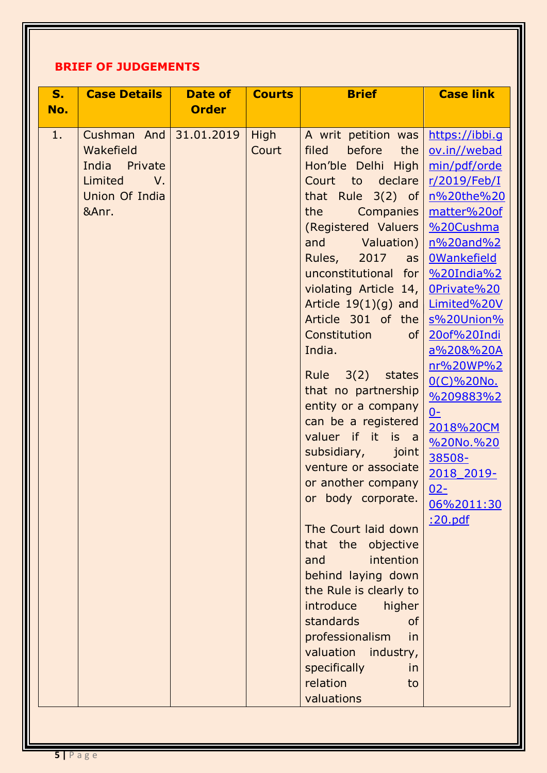# **BRIEF OF JUDGEMENTS**

| S <sub>1</sub><br>No. | <b>Case Details</b>                                                                            | Date of<br><b>Order</b> | <b>Courts</b>        | <b>Brief</b>                                                                                                                                                                                                                                                                                                                                                                                                                                                                                                                                                                                                                                                                                                                                                                                                                                                                               | <b>Case link</b>                                                                                                                                                                                                                                                                                                                                                                     |
|-----------------------|------------------------------------------------------------------------------------------------|-------------------------|----------------------|--------------------------------------------------------------------------------------------------------------------------------------------------------------------------------------------------------------------------------------------------------------------------------------------------------------------------------------------------------------------------------------------------------------------------------------------------------------------------------------------------------------------------------------------------------------------------------------------------------------------------------------------------------------------------------------------------------------------------------------------------------------------------------------------------------------------------------------------------------------------------------------------|--------------------------------------------------------------------------------------------------------------------------------------------------------------------------------------------------------------------------------------------------------------------------------------------------------------------------------------------------------------------------------------|
| 1.                    | Cushman And<br>Wakefield<br>India Private<br>Limited<br>$V_{\cdot}$<br>Union Of India<br>&Anr. | 31.01.2019              | <b>High</b><br>Court | A writ petition was<br>before<br>filed<br>the<br>Hon'ble Delhi High<br>Court<br>$\overline{\phantom{a}}$ to<br>declare<br>that Rule $3(2)$ of<br>the<br>Companies  <br>(Registered Valuers<br>and<br>Valuation)<br>Rules,<br>2017<br>$\overline{a}$ s<br>unconstitutional for<br>violating Article 14,<br>Article $19(1)(g)$ and<br>Article 301 of the<br>Constitution<br>of<br>India.<br>Rule $3(2)$<br>states<br>that no partnership<br>entity or a company<br>can be a registered<br>valuer if it is a<br>subsidiary,<br>joint<br>venture or associate<br>or another company<br>body corporate.<br><b>or</b><br>The Court laid down<br>that the<br>objective<br>intention<br>and<br>behind laying down<br>the Rule is clearly to<br>introduce<br>higher<br>standards<br><b>of</b><br>professionalism<br>in<br>valuation industry,<br>specifically<br>in<br>relation<br>to<br>valuations | https://ibbi.q<br>ov.in//webad<br>min/pdf/orde<br>r/2019/Feb/I<br>n%20the%20<br>matter%20of<br>%20Cushma<br>n%20and%2<br><b>OWankefield</b><br>$%20$ India $%2$<br>OPrivate%20<br>Limited%20V<br>s%20Union%<br>20of%20Indi<br>a%20&%20A<br>nr%20WP%2<br>0(C)%20No.<br>%209883%2<br>$0 -$<br>2018%20CM<br>%20No.%20<br>38508-<br>2018 2019-<br>$02 -$<br>06%2011:30<br><u>:20.pdf</u> |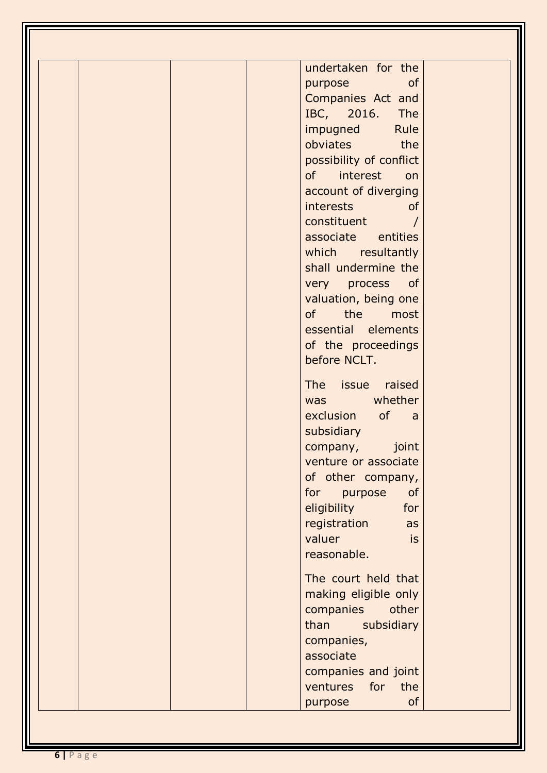| undertaken for the      |
|-------------------------|
| of<br>purpose           |
| Companies Act and       |
| IBC, 2016. The          |
| impugned Rule           |
| obviates the            |
| possibility of conflict |
| of interest on          |
| account of diverging    |
| interests<br><b>of</b>  |
| constituent             |
| associate entities      |
| which resultantly       |
| shall undermine the     |
| very process of         |
| valuation, being one    |
| of the most             |
| essential elements      |
| of the proceedings      |
| before NCLT.            |
|                         |
| The issue raised        |
| was whether             |
| exclusion of a          |
| subsidiary              |
| joint<br>company,       |
| venture or associate    |
| of other company,       |
| of<br>for<br>purpose    |
| eligibility<br>for      |
| registration<br>as      |
| valuer<br>is            |
| reasonable.             |
| The court held that     |
| making eligible only    |
| companies<br>other      |
| than<br>subsidiary      |
| companies,              |
| associate               |
| companies and joint     |
| ventures<br>for<br>the  |
| <b>of</b><br>purpose    |
|                         |

Ш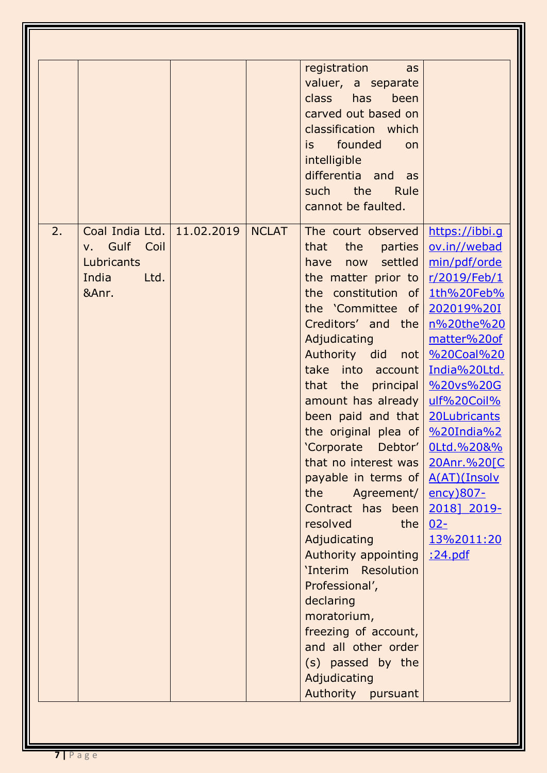|    |                                                                         |            |              | registration<br>as<br>valuer, a separate<br>class has<br>been<br>carved out based on<br>classification which<br>is founded<br>on<br>intelligible<br>differentia and as<br>the<br>such<br>Rule<br>cannot be faulted.                                                                                                                                                                                                                                                                                                                                                                                                                                                                                                                                                                                                                                                                           |                                                                                                                                                       |
|----|-------------------------------------------------------------------------|------------|--------------|-----------------------------------------------------------------------------------------------------------------------------------------------------------------------------------------------------------------------------------------------------------------------------------------------------------------------------------------------------------------------------------------------------------------------------------------------------------------------------------------------------------------------------------------------------------------------------------------------------------------------------------------------------------------------------------------------------------------------------------------------------------------------------------------------------------------------------------------------------------------------------------------------|-------------------------------------------------------------------------------------------------------------------------------------------------------|
| 2. | Coal India Ltd.<br>v. Gulf Coil<br>Lubricants<br>India<br>Ltd.<br>&Anr. | 11.02.2019 | <b>NCLAT</b> | The court observed<br>the<br>that<br>parties  <br>have now settled<br>the matter prior to $r/2019$ /Feb/1<br>the constitution of 1th%20Feb%<br>the 'Committee of $202019\%20I$<br>Creditors' and the<br>Adjudicating<br>Authority did not   %20Coal%20<br>take into account India%20Ltd.<br>that the principal $\frac{\%20 \text{vs}}{\%2000}$<br>amount has already<br>been paid and that 20Lubricants<br>the original plea of $\frac{\%20 \text{I} \cdot \text{A}}{20}$<br>'Corporate Debtor'   0Ltd.%20&%<br>that no interest was $20 Anr. %20[C]$<br>payable in terms of $A(AT)(Insolv)$<br>the<br>Agreement/<br>Contract has been<br>resolved<br>the  <br>Adjudicating<br>Authority appointing   : 24.pdf<br>'Interim Resolution<br>Professional',<br>declaring<br>moratorium,<br>freezing of account,<br>and all other order<br>(s) passed by the<br>Adjudicating<br>Authority pursuant | https://ibbi.g<br>ov.in//webad<br>min/pdf/orde<br>n%20the%20<br>matter%20of<br>ulf%20Coil%<br><u>ency)807-</u><br>2018] 2019-<br>$02 -$<br>13%2011:20 |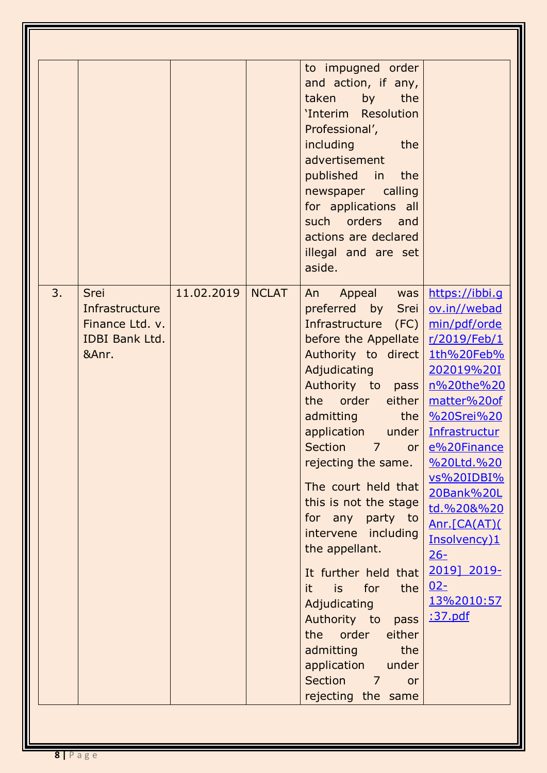|    |                                                                                    |            |              | to impugned order<br>and action, if any,<br>taken by<br>the<br>'Interim Resolution<br>Professional',<br>including the<br>advertisement<br>published in the<br>newspaper calling<br>for applications all<br>such orders and<br>actions are declared<br>illegal and are set<br>aside.                                                                                                                                                                                                                                                                                                                                           |                                                                                                                                                                                                                                                                                  |
|----|------------------------------------------------------------------------------------|------------|--------------|-------------------------------------------------------------------------------------------------------------------------------------------------------------------------------------------------------------------------------------------------------------------------------------------------------------------------------------------------------------------------------------------------------------------------------------------------------------------------------------------------------------------------------------------------------------------------------------------------------------------------------|----------------------------------------------------------------------------------------------------------------------------------------------------------------------------------------------------------------------------------------------------------------------------------|
| 3. | <b>Srei</b><br>Infrastructure<br>Finance Ltd. v.<br><b>IDBI Bank Ltd.</b><br>&Anr. | 11.02.2019 | <b>NCLAT</b> | Appeal was<br>An<br>preferred by Srei<br>Infrastructure (FC) min/pdf/orde<br>before the Appellate $r/2019$ /Feb/1<br>Authority to direct 1th%20Feb%<br>Adjudicating<br>Authority to pass<br>the order either<br>admitting the<br>application under<br>Section 7 or<br>rejecting the same.<br>The court held that<br>this is not the stage<br>for any party to<br>intervene including<br>the appellant.<br>It further held that<br>it.<br>is for<br>the<br>Adjudicating<br>Authority to<br>pass<br>order<br>either<br>the<br>the<br>admitting<br>application<br>under<br>Section<br>$\overline{7}$<br>or<br>rejecting the same | https://ibbi.g<br>ov.in//webad<br>202019%20I<br>n%20the%20<br>matter%20of<br>%20Srei%20<br>Infrastructur<br>e%20Finance<br>%20Ltd.%20<br>vs%20IDBI%<br>20Bank%20L<br>td.%20&%20<br>Anr.[CA(AT)(<br>Insolvency)1<br><u> 26-</u><br>2019] 2019-<br>$02 -$<br>13%2010:57<br>:37.pdf |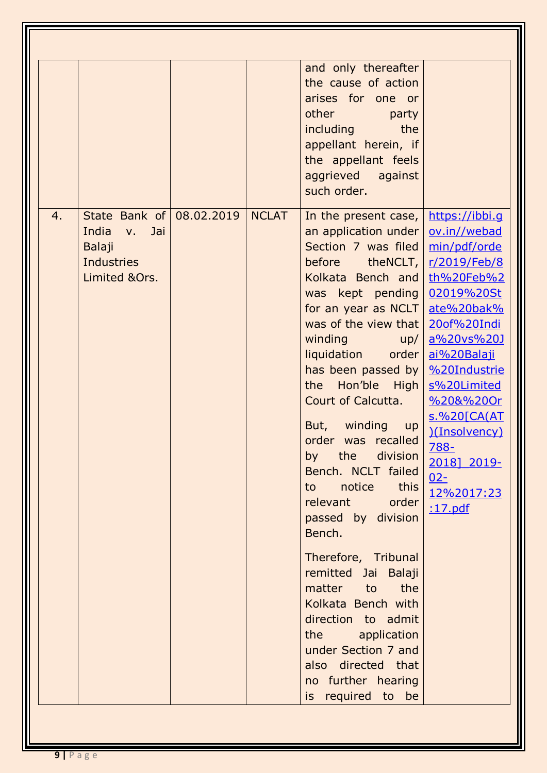| State Bank of<br>4.<br>India<br>Jai<br>V <sub>1</sub> | 08.02.2019 | <b>NCLAT</b> | and only thereafter<br>the cause of action<br>arises for one or<br>other<br>party<br>including<br>the<br>appellant herein, if<br>the appellant feels<br>aggrieved against<br>such order.<br>In the present case,<br>an application under $\vert$                                                                                                                                                                                                                                                                                                                                                                                                             | https://ibbi.g<br>ov.in//webad                                                                                                                                                                                                          |
|-------------------------------------------------------|------------|--------------|--------------------------------------------------------------------------------------------------------------------------------------------------------------------------------------------------------------------------------------------------------------------------------------------------------------------------------------------------------------------------------------------------------------------------------------------------------------------------------------------------------------------------------------------------------------------------------------------------------------------------------------------------------------|-----------------------------------------------------------------------------------------------------------------------------------------------------------------------------------------------------------------------------------------|
| Balaji<br><b>Industries</b><br>Limited &Ors.          |            |              | Section 7 was filed<br>before theNCLT, r/2019/Feb/8<br>Kolkata Bench and<br>was kept pending 02019%20St<br>for an year as $NCLT$<br>was of the view that  <br>winding<br>up/<br>liquidation<br>order  <br>has been passed by $ $<br>the Hon'ble High<br>Court of Calcutta.<br>winding<br>But,<br>up<br>order was recalled<br>by the division<br>Bench. NCLT failed<br>to notice this<br>relevant order<br>passed by division<br>Bench.<br>Therefore, Tribunal<br>remitted Jai Balaji<br>matter to the<br>Kolkata Bench with<br>direction to admit<br>the application<br>under Section 7 and<br>also directed that<br>no further hearing<br>is required to be | min/pdf/orde<br>th%20Feb%2<br>ate%20bak%<br>20of%20Indi<br>a%20vs%20J<br>ai%20Balaji<br>%20Industrie<br>s%20Limited<br>%20&%20Or<br><u>s.%20[CA(AT</u><br>)(Insolvency)<br>788-<br>2018] 2019-<br>$02-$<br>12%2017:23<br><u>:17.pdf</u> |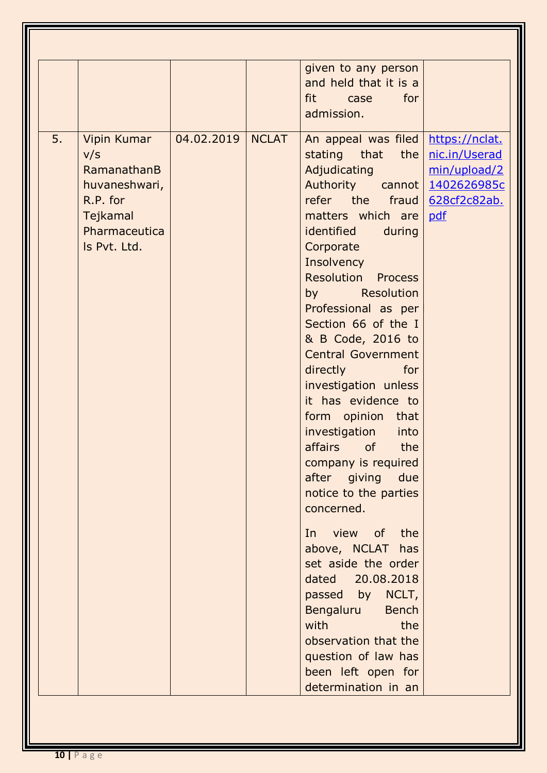|    |                                                                                                             |            |              | given to any person<br>and held that it is a<br>fit case<br>for<br>admission.                                                                                                                                                                                                                                                                                                                                                                                                                                                                                                                                                                                                                                                                                                                            |                                                                        |
|----|-------------------------------------------------------------------------------------------------------------|------------|--------------|----------------------------------------------------------------------------------------------------------------------------------------------------------------------------------------------------------------------------------------------------------------------------------------------------------------------------------------------------------------------------------------------------------------------------------------------------------------------------------------------------------------------------------------------------------------------------------------------------------------------------------------------------------------------------------------------------------------------------------------------------------------------------------------------------------|------------------------------------------------------------------------|
| 5. | Vipin Kumar<br>V/S<br>RamanathanB<br>huvaneshwari,<br>R.P. for<br>Tejkamal<br>Pharmaceutica<br>Is Pvt. Ltd. | 04.02.2019 | <b>NCLAT</b> | An appeal was filed<br>stating that<br>the<br>Adjudicating<br>Authority cannot 1402626985c<br>refer the fraud<br>matters which are<br>identified<br>during<br>Corporate<br>Insolvency<br><b>Resolution Process</b><br>by Resolution<br>Professional as per<br>Section 66 of the I<br>& B Code, 2016 to<br><b>Central Government</b><br>directly<br>for<br>investigation unless<br>it has evidence to<br>form opinion that<br>investigation<br>into<br>affairs of<br>the<br>company is required<br>after giving due<br>notice to the parties<br>concerned.<br>In view of<br>the<br>above, NCLAT has<br>set aside the order<br>dated 20.08.2018<br>passed by NCLT,<br>Bengaluru<br><b>Bench</b><br>with<br>the<br>observation that the<br>question of law has<br>been left open for<br>determination in an | https://nclat.<br>nic.in/Userad<br>min/upload/2<br>628cf2c82ab.<br>pdf |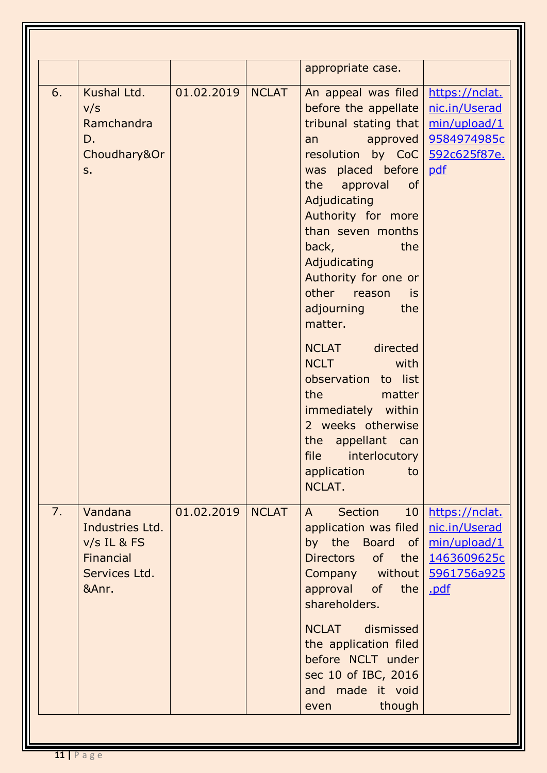|    |                                                                                    |            |              | appropriate case.                                                                                                                                                                                                                                                                                                                                                                                                                                                                                                                                                                                                                                                                                                                                        |                                                                                       |
|----|------------------------------------------------------------------------------------|------------|--------------|----------------------------------------------------------------------------------------------------------------------------------------------------------------------------------------------------------------------------------------------------------------------------------------------------------------------------------------------------------------------------------------------------------------------------------------------------------------------------------------------------------------------------------------------------------------------------------------------------------------------------------------------------------------------------------------------------------------------------------------------------------|---------------------------------------------------------------------------------------|
| 6. | Kushal Ltd.<br>V/S<br>Ramchandra<br>D.<br>Choudhary⩔<br>S.                         | 01.02.2019 | <b>NCLAT</b> | An appeal was filed<br>before the appellate<br>tribunal stating that<br>resolution by CoC   592c625f87e.<br>was placed before<br>the<br>approval of<br>Adjudicating<br>Authority for more<br>than seven months<br>back, and the set of the set of the set of the set of the set of the set of the set of the set of the set of the set of the set of the set of the set of the set of the set of the set of the set of the set of the set of the<br>the<br>Adjudicating<br>Authority for one or<br>other reason is<br>adjourning the<br>matter.<br>NCLAT directed<br><b>NCLT</b><br>with<br>observation to list<br>the<br>matter<br>immediately within<br>2 weeks otherwise<br>the appellant can<br>file<br>interlocutory<br>application<br>to<br>NCLAT. | https://nclat.<br>nic.in/Userad<br>min/upload/1<br>approved   9584974985c<br>pdf      |
| 7. | Vandana<br>Industries Ltd.<br>$v/s$ IL & FS<br>Financial<br>Services Ltd.<br>&Anr. | 01.02.2019 | <b>NCLAT</b> | <b>Section</b><br>10 <sup>°</sup><br>$\mathsf{A}$<br>application was filed<br>by the Board of<br>Directors of<br>the<br>Company without<br>approval of<br>the<br>shareholders.<br>dismissed<br><b>NCLAT</b><br>the application filed<br>before NCLT under<br>sec 10 of IBC, 2016<br>and made it void                                                                                                                                                                                                                                                                                                                                                                                                                                                     | https://nclat.<br>nic.in/Userad<br>min/upload/1<br>1463609625c<br>5961756a925<br>.pdf |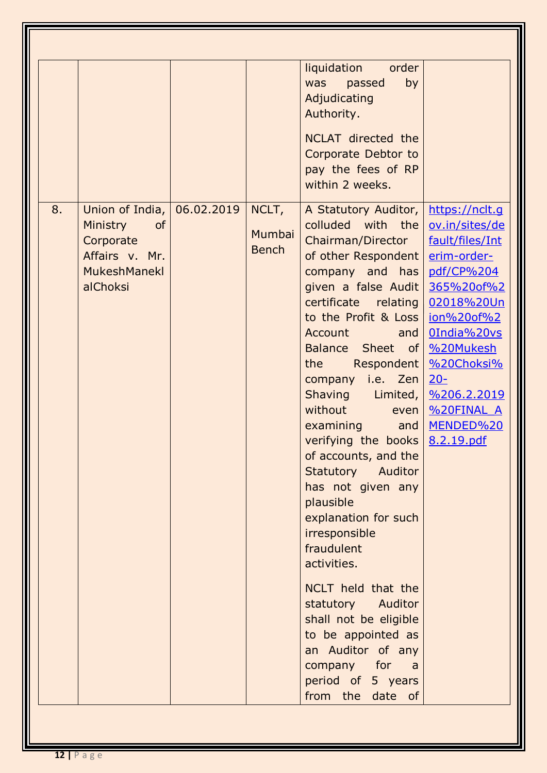|                                                                                                                      |                                 | liquidation order<br>by<br>was passed<br>Adjudicating<br>Authority.                                                                                                                                                                                                                                                                                                                                                                                                                                                                                                                                                                                                                                                                                                                                                                                                      |                                                                                                                                                                                               |
|----------------------------------------------------------------------------------------------------------------------|---------------------------------|--------------------------------------------------------------------------------------------------------------------------------------------------------------------------------------------------------------------------------------------------------------------------------------------------------------------------------------------------------------------------------------------------------------------------------------------------------------------------------------------------------------------------------------------------------------------------------------------------------------------------------------------------------------------------------------------------------------------------------------------------------------------------------------------------------------------------------------------------------------------------|-----------------------------------------------------------------------------------------------------------------------------------------------------------------------------------------------|
|                                                                                                                      |                                 | NCLAT directed the<br>Corporate Debtor to<br>pay the fees of RP<br>within 2 weeks.                                                                                                                                                                                                                                                                                                                                                                                                                                                                                                                                                                                                                                                                                                                                                                                       |                                                                                                                                                                                               |
| Union of India, 06.02.2019<br>8.<br>Ministry<br><b>of</b><br>Corporate<br>Affairs v. Mr.<br>MukeshManekl<br>alChoksi | NCLT,<br>Mumbai<br><b>Bench</b> | A Statutory Auditor,<br>colluded with the<br>Chairman/Director<br>of other Respondent  <br>company and has<br>given a false Audit<br>certificate relating<br>to the Profit & Loss   jon%20of%2<br><b>Account</b><br>and $ $<br>Balance Sheet of   %20Mukesh<br>Respondent  <br>the the the state of the state of the state of the state of the state of the state of the state of the state o<br>company i.e. $\mathsf{Zen}$<br>Shaving Limited,<br>without<br>even  <br>examining<br>and $\vert$<br>verifying the books $8.2.19.pdf$<br>of accounts, and the<br>Statutory Auditor<br>has not given any<br>plausible<br>explanation for such<br>irresponsible<br>fraudulent<br>activities.<br>NCLT held that the<br>statutory Auditor<br>shall not be eligible<br>to be appointed as<br>an Auditor of any<br>company for<br>a a<br>period of 5 years<br>from the date of | https://nclt.g<br>ov.in/sites/de<br>fault/files/Int<br>erim-order-<br>pdf/CP%204<br>365%20of%2<br>02018%20Un<br>OIndia%20vs<br>%20Choksi%<br>$20 -$<br>%206.2.2019<br>%20FINAL A<br>MENDED%20 |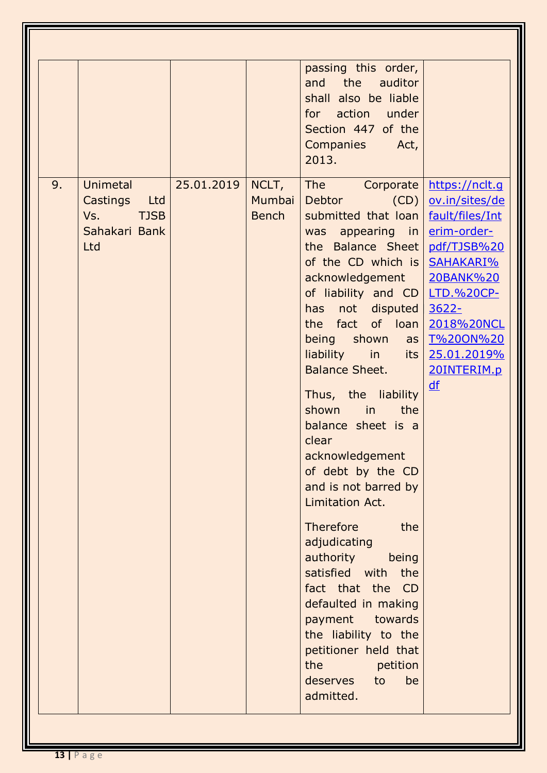| Unimetal<br>9.                                             | 25.01.2019 | NCLT,                  | passing this order,<br>the<br>auditor<br>and<br>shall also be liable<br>action under<br>for<br>Section 447 of the<br><b>Companies</b><br>Act,<br>2013.<br>The Corporate                                                                                                                                                                                                                                                                                                                                                                                                                                                                                                                                                                                                                                            | https://nclt.g                                                                                                                                                                            |
|------------------------------------------------------------|------------|------------------------|--------------------------------------------------------------------------------------------------------------------------------------------------------------------------------------------------------------------------------------------------------------------------------------------------------------------------------------------------------------------------------------------------------------------------------------------------------------------------------------------------------------------------------------------------------------------------------------------------------------------------------------------------------------------------------------------------------------------------------------------------------------------------------------------------------------------|-------------------------------------------------------------------------------------------------------------------------------------------------------------------------------------------|
| Castings Ltd<br><b>TJSB</b><br>Vs.<br>Sahakari Bank<br>Ltd |            | Mumbai<br><b>Bench</b> | Debtor<br>(CD)<br>submitted that loan<br>was appearing in<br>the Balance Sheet<br>of the CD which is<br>acknowledgement  <br>of liability and $CD$<br>not disputed<br>has<br>the fact of loan<br>being shown<br>as <sub>l</sub><br>liability<br>in<br>its  <br><b>Balance Sheet.</b><br>Thus, the liability<br>shown<br>in<br>the<br>balance sheet is a<br>clear<br>acknowledgement<br>of debt by the CD<br>and is not barred by<br>Limitation Act.<br>Therefore<br>the<br>adjudicating<br>authority<br>being<br>satisfied with the<br>fact that the CD<br>defaulted in making<br>payment towards<br>the liability to the<br>petitioner held that<br>the the state of the state of the state of the state of the state of the state of the state of the state of the<br>petition<br>deserves to<br>be<br>admitted. | ov.in/sites/de<br>fault/files/Int<br>erim-order-<br>pdf/TJSB%20<br>SAHAKARI%<br>20BANK%20<br><b>LTD.%20CP-</b><br>$3622 -$<br>2018%20NCL<br>T%20ON%20<br>25.01.2019%<br>20INTERIM.p<br>df |